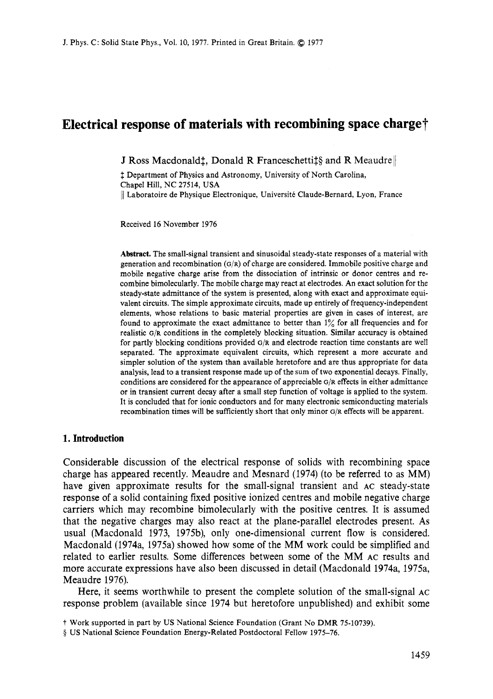# **Electrical response of materials with recombining space charge?**

J Ross Macdonald<sup>\*</sup>, Donald R Franceschetti<sup>§</sup> and R Meaudre

1 Department of Physics and Astronomy, University of North Carolina, Chapel Hill, NC 27514, USA || Laboratoire de Physique Electronique, Université Claude-Bernard, Lyon, France

Received 16 November 1976

**Abstract.** The small-signal transient and sinusoidal steady-state responses of a material with generation and recombination **(G/R)** of charge are considered. Immobile positive charge and mobile negative charge arise from the dissociation of intrinsic or donor centres and recombine bimolecularly. The mobile charge may react at electrodes. An exact solution for the steady-state admittance of the system is presented, along with exact and approximate equivalent circuits. The simple approximate circuits, made up entirely of frequency-independent elements, whose relations to basic material properties are given in cases of interest, are found to approximate the exact admittance to better than  $1\%$  for all frequencies and for realistic **G/R** conditions in the completely blocking situation. Similar accuracy is obtained for partly blocking conditions provided **G/R** and electrode reaction time constants are well separated. The approximate equivalent circuits, which represent a more accurate and simpler solution of the system than available heretofore and are thus appropriate for data analysis, lead to a transient response made up of the sum of two exponential decays. Finally, conditions are considered for the appearance of appreciable **G/R** effects in either admittance or in transient current decay after a small step function of voltage is applied to the system. It is concluded that for ionic conductors and for many electronic semiconducting materials recombination times will be sufficiently short that only minor **G/R** effects will be apparent.

# **1. Introduction**

Considerable discussion of the electrical response of solids with recombining space charge has appeared recently. Meaudre and Mesnard (1974) (to be referred to as MM) have given approximate results for the small-signal transient and **AC** steady-state response of a solid containing fixed positive ionized centres and mobile negative charge carriers which may recombine bimolecularly with the positive centres. It is assumed that the negative charges may also react at the plane-parallel electrodes present. **As**  usual (Macdonald 1973, 1975b), only one-dimensional current flow is considered. Macdonald (1974a, 1975a) showed how some of the MM work could be simplified and related to earlier results. Some differences between some of the MM **AC** results and more accurate expressions have also been discussed in detail (Macdonald 1974a, 1975a, Meaudre 1976).

Here, it seems worthwhile to present the complete solution of the small-signal **AC**  response problem (available since 1974 but heretofore unpublished) and exhibit some

t Work supported in part by US National Science Foundation (Grant No DMR 75-10739).

*<sup>5</sup>* US National Science Foundation Energy-Related Postdoctoral Fellow 1975-76.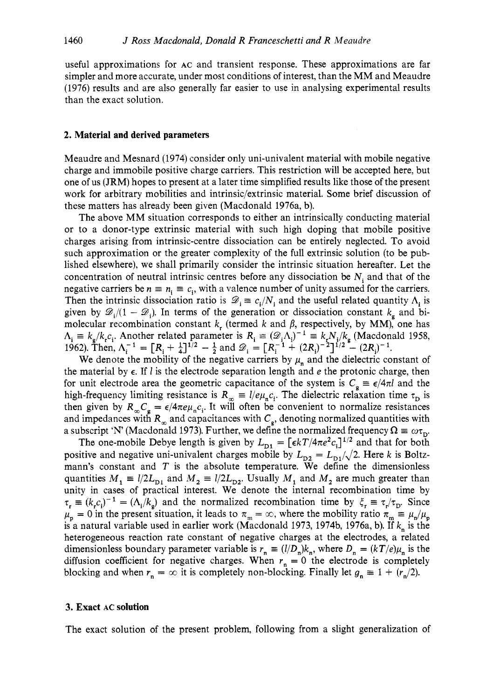useful approximations for **AC** and transient response. These approximations are far simpler and more accurate, under most conditions of interest, than the MM and Meaudre (1976) results and are also generally far easier to use in analysing experimental results than the exact solution.

## **2. Material and derived parameters**

Meaudre and Mesnard (1974) consider only uni-univalent material with mobile negative charge and immobile positive charge carriers. This restriction will be accepted here, but one of us (JRM) hopes to present at a later time simplified results like those of the present work for arbitrary mobilities and intrinsic/extrinsic material. Some brief discussion of these matters has already been given (Macdonald 1976a, b).

The above MM situation corresponds to either an intrinsically conducting material or to a donor-type extrinsic material with such high doping that mobile positive charges arising from intrinsic-centre dissociation can be entirely neglected. To avoid such approximation or the greater complexity of the full extrinsic solution (to be published elsewhere), we shall primarily consider the intrinsic situation hereafter. Let the concentration of neutral intrinsic centres before any dissociation be *N<sub>i</sub>* and that of the negative carriers be  $n \equiv n_i \equiv c_i$ , with a valence number of unity assumed for the carriers. Then the intrinsic dissociation ratio is  $\mathcal{D}_i \equiv c_i/N_i$  and the useful related quantity  $\Lambda_i$  is given by  $\mathscr{D}_i/(1-\mathscr{D}_i)$ . In terms of the generation or dissociation constant  $k_e$  and bimolecular recombination constant  $k$ , (termed  $k$  and  $\beta$ , respectively, by MM), one has  $\Lambda_i \equiv k_s/k_i c_i$ . Another related parameter is  $R_i \equiv (\mathscr{D}_i \Lambda_i)^{-1} \equiv k_i N_i/k_s$  (Macdonald 1958, given by  $\mathcal{D}_i/(1 - \mathcal{D}_i)$ . In terms of the generation or dissociation constant  $k_i$ <br>molecular recombination constant  $k_r$  (termed k and  $\beta$ , respectively, by MM),<br> $\Lambda_i \equiv k_g/k_i c_i$ . Another related parameter is  $R_i \equiv (\mathcal{$ 

We denote the mobility of the negative carriers by  $\mu_n$  and the dielectric constant of the material by  $\epsilon$ . If l is the electrode separation length and  $e$  the protonic charge, then for unit electrode area the geometric capacitance of the system is  $C<sub>g</sub> \equiv \epsilon/4\pi l$  and the high-frequency limiting resistance is  $R_{\infty} = l/e\mu_{n}c_{i}$ . The dielectric relaxation time  $\tau_{\text{D}}$  is then given by  $R_{\infty}C_{\sigma} = \epsilon/4\pi e\mu_{\rm n}c_{\rm i}$ . It will often be convenient to normalize resistances and impedances with  $R_{\infty}$  and capacitances with  $C_{\epsilon}$ , denoting normalized quantities with a subscript 'N' (Macdonald 1973). Further, we define the normalized frequency  $\Omega \equiv \omega \tau_{\text{p}}$ .

The one-mobile Debye length is given by  $L_{\text{D1}} = [\epsilon kT/4\pi e^2 c_1]^{1/2}$  and that for both positive and negative uni-univalent charges mobile by  $L_{p2} = L_{p1}/\sqrt{2}$ . Here *k* is Boltzmann's constant and *T* is the absolute temperature. We define the dimensionless quantities  $M_1 \equiv l/2L_{\text{D1}}$  and  $M_2 \equiv l/2L_{\text{D2}}$ . Usually  $M_1$  and  $M_2$  are much greater than unity in cases of practical interest. We denote the internal recombination time by  $\tau_r \equiv (k_r c_j)^{-1} = (\Lambda_i / k_g)$  and the normalized recombination time by  $\xi_r \equiv \tau_r / \tau_p$ . Since  $\mu_p = 0$  in the present situation, it leads to  $\pi_m = \infty$ , where the mobility ratio  $\pi_m \equiv \mu_n/\mu_p$ is a natural variable used in earlier work (Macdonald 1973, 1974b, 1976a, b). If *k,* is the heterogeneous reaction rate constant of negative charges at the electrodes, a related dimensionless boundary parameter variable is  $r_n \equiv (l/D_n)k_n$ , where  $D_n = (kT/e)\mu_n$  is the diffusion coefficient for negative charges. When  $r_n = 0$  the electrode is completely blocking and when  $r_n = \infty$  it is completely non-blocking. Finally let  $g_n \equiv 1 + (r_n/2)$ .

# **3. Exact AC solution**

The exact solution of the present problem, following from a slight generalization of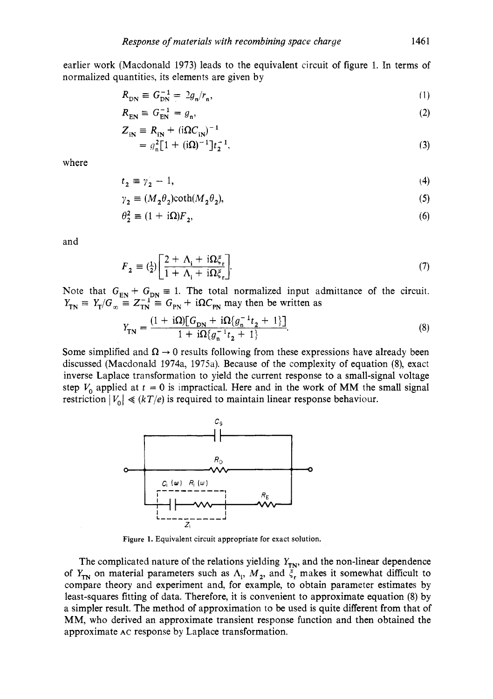earlier work (Macdonald 1973) leads to the equivalent circuit of figure 1. In terms of normalized quantities, its elements are given by

$$
R_{\rm DN} \equiv G_{\rm DN}^{-1} = 2g_{\rm n}/r_{\rm n},\tag{1}
$$

$$
R_{\text{EN}} \equiv G_{\text{EN}}^{-1} = g_n,\tag{2}
$$

$$
= g_n^2 [1 + (i\Omega)^{-1}] t_2^{-1},
$$
\n(3)

where

$$
t_2 \equiv \gamma_2 - 1,\tag{4}
$$

$$
\gamma_2 \equiv (M_2 \theta_2) \coth(M_2 \theta_2),\tag{5}
$$

$$
\theta_2^2 \equiv (1 + i\Omega)F_2,\tag{6}
$$

and

$$
F_2 = \left(\frac{1}{2}\right) \left[ \frac{2 + \Lambda_i + i\Omega \xi_r}{1 + \Lambda_i + i\Omega \xi_r} \right].
$$
\n(7)

Note that  $G_{EN} + G_{DN} \equiv 1$ . The total normalized input admittance of the circuit.<br>  $Y_{TN} \equiv Y_T/G_{\infty} \equiv Z_{TN}^{-1} \equiv G_{PN} + i\Omega C_{PN}$  may then be written as

$$
Y_{\rm TN} = \frac{(1 + i\Omega)[G_{\rm DN} + i\Omega\{g_{\rm n}^{-1}t_2 + 1\}]}{1 + i\Omega\{g_{\rm n}^{-1}t_2 + 1\}}.
$$
\n(8)

Some simplified and  $\Omega \rightarrow 0$  results following from these expressions have already been discussed (Macdonald 1974a, 197%). Because of the complexity of equation **(8),** exact inverse Laplace transformation to yield the current response to a small-signal voltage step  $V_0$  applied at  $t = 0$  is impractical. Here and in the work of MM the small signal restriction  $|V_0| \ll (kT/e)$  is required to maintain linear response behaviour.



**Figure 1.** Equivalent circuit appropriate for exact solution.

The complicated nature of the relations yielding  $Y_{TN}$ , and the non-linear dependence of  $Y_{\text{TN}}$  on material parameters such as  $\Lambda_i$ ,  $M_2$ , and  $\xi_i$  makes it somewhat difficult to compare theory and experiment and, for example, to obtain parameter estimates by least-squares fitting of data. Therefore, it is convenient to approximate equation (8) by a simpler result. The method of approximation to be used is quite different from that of MM, who derived an approximate transient response function and then obtained the approximate **AC** response by Laplace transformation.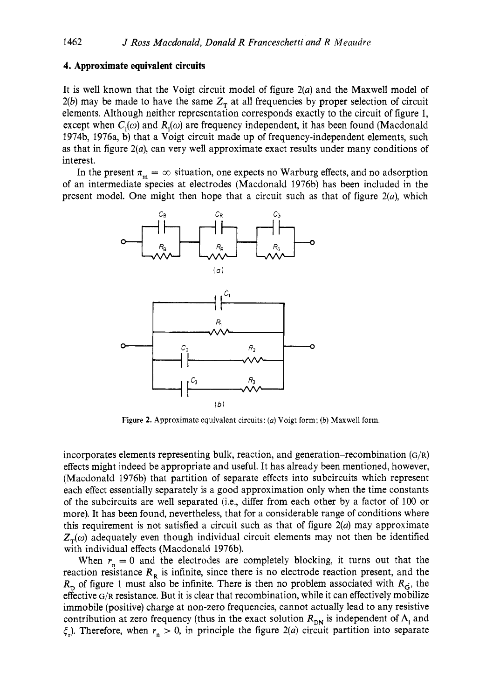## **4. Approximate equivalent circuits**

It is well known that the Voigt circuit model of figure  $2(a)$  and the Maxwell model of *2(b)* may be made to have the same  $Z<sub>T</sub>$  at all frequencies by proper selection of circuit elements. Although neither representation corresponds exactly to the circuit of figure 1, except when  $C_i(\omega)$  and  $R_i(\omega)$  are frequency independent, it has been found (Macdonald 1974b, 1976a, b) that a Voigt circuit made up of frequency-independent elements, such as that in figure *2(a),* can very well approximate exact results under many conditions of interest.

In the present  $\pi_m = \infty$  situation, one expects no Warburg effects, and no adsorption of an intermediate species at electrodes (Macdonald 1976b) has been included in the



**Figure 2.** Approximate equivalent circuits: (a) Voigt form; *(b)* Maxwell form.

incorporates elements representing bulk, reaction, and generation-recombination  $(G/R)$ effects might indeed be appropriate and useful. It has already been mentioned, however, (Macdonald 1976b) that partition of separate effects into subcircuits which represent each effect essentially separately is a good approximation only when the time constants of the subcircuits are well separated (i.e., differ from each other by a factor of 100 or more). It has been found, nevertheless, that for a considerable range of conditions where this requirement is not satisfied a circuit such as that of figure *2(a)* may approximate  $Z_{\tau}(\omega)$  adequately even though individual circuit elements may not then be identified with individual effects (Macdonald 1976b).

When  $r_n = 0$  and the electrodes are completely blocking, it turns out that the reaction resistance  $R<sub>R</sub>$  is infinite, since there is no electrode reaction present, and the  $R_p$  of figure 1 must also be infinite. There is then no problem associated with  $R_{\rm G}$ , the effective G/R resistance. But it is clear that recombination, while it can effectively mobilize immobile (positive) charge at non-zero frequencies, cannot actually lead to any resistive contribution at zero frequency (thus in the exact solution  $R_{\text{DN}}$  is independent of  $\Lambda_i$  and  $\xi$ <sub>r</sub>). Therefore, when  $r_n > 0$ , in principle the figure 2(*a*) circuit partition into separate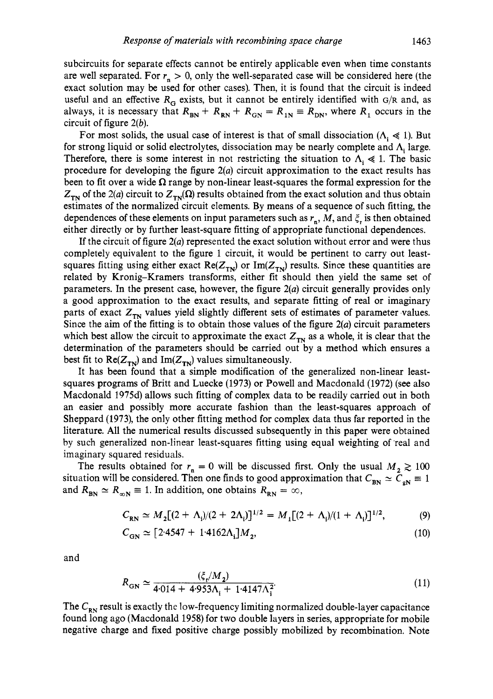subcircuits for separate effects cannot be entirely applicable even when time constants are well separated. For  $r_n > 0$ , only the well-separated case will be considered here (the exact solution may be used for other cases). Then, it is found that the circuit is indeed useful and an effective  $R_G$  exists, but it cannot be entirely identified with  $G/R$  and, as always, it is necessary that  $R_{BN} + R_{RN} + R_{GN} = R_{IN} = R_{DN}$ , where  $R_1$  occurs in the circuit of figure **2(b).** 

For most solids, the usual case of interest is that of small dissociation  $(A_i \le 1)$ . But for strong liquid or solid electrolytes, dissociation may be nearly complete and  $\Lambda$ , large. Therefore, there is some interest in not restricting the situation to  $\Lambda_i \ll 1$ . The basic procedure for developing the figure **2(a)** circuit approximation to the exact results has been to fit over a wide  $\Omega$  range by non-linear least-squares the formal expression for the  $Z_{\tau N}$  of the 2(*a*) circuit to  $Z_{\tau N}(\Omega)$  results obtained from the exact solution and thus obtain estimates of the normalized circuit elements. By means of a sequence of such fitting, the dependences of these elements on input parameters such as  $r_n$ , *M*, and  $\zeta$  is then obtained either directly or by further least-square fitting of appropriate functional dependences.

If the circuit of figure **2(a)** represented the exact solution without error and were thus completely equivalent to the figure **1** circuit, it would be pertinent to carry out leastsquares fitting using either exact  $Re(Z_{TN})$  or  $Im(Z_{TN})$  results. Since these quantities are related by Kronig-Kramers transforms, either fit should then yield the same set of parameters. In the present case, however, the figure **2(a)** circuit generally provides only a good approximation to the exact results, and separate fitting of real or imaginary parts of exact  $Z_{TN}$  values yield slightly different sets of estimates of parameter values. Since the aim of the fitting is to obtain those values of the figure *2(a)* circuit parameters which best allow the circuit to approximate the exact  $Z_{\tau N}$  as a whole, it is clear that the determination of the parameters should be carried out by a method which ensures a best fit to  $\text{Re}(Z_{\text{TN}})$  and  $\text{Im}(Z_{\text{TN}})$  values simultaneously.

It has been found that a simple modification of the generalized non-linear leastsquares programs of Britt and Luecke **(1973)** or Powell and Macdonald **(1972)** (see also Macdonald **1975d)** allows such fitting of complex data to be readily carried out in both an easier and possibly more accurate fashion than the least-squares approach of Sheppard **(1973),** the only other fitting method for complex data thus far reported in the literature. All the numerical results discussed subsequently in this paper were obtained by such generalized non-linear least-squares fitting using equal weighting of real and imaginary squared residuals.

The results obtained for  $r_n = 0$  will be discussed first. Only the usual  $M_2 \ge 100$ situation will be considered. Then one finds to good approximation that  $C_{BN} \simeq \tilde{C}_{gN} \equiv 1$ and  $R_{BN} \simeq R_{\infty N} \equiv 1$ . In addition, one obtains  $R_{RN} = \infty$ ,

$$
C_{\rm RN} \simeq M_2 [(2 + \Lambda_{\rm i})/(2 + 2\Lambda_{\rm i})]^{1/2} = M_1 [(2 + \Lambda_{\rm i})/(1 + \Lambda_{\rm i})]^{1/2}, \tag{9}
$$

$$
C_{\rm GN} \simeq [2.4547 + 1.4162 \Lambda_{\rm i}] M_2, \tag{10}
$$

and

$$
R_{\rm GN} \simeq \frac{(\xi_{\rm r}/M_2)}{4.014 + 4.953\Lambda_{\rm i} + 1.4147\Lambda_{\rm i}^2} \tag{11}
$$

The  $C_{\rm RN}$  result is exactly the low-frequency limiting normalized double-layer capacitance found long ago (Macdonald **1958)** for two double layers in series, appropriate for mobile negative charge and fixed positive charge possibly mobilized by recombination. Note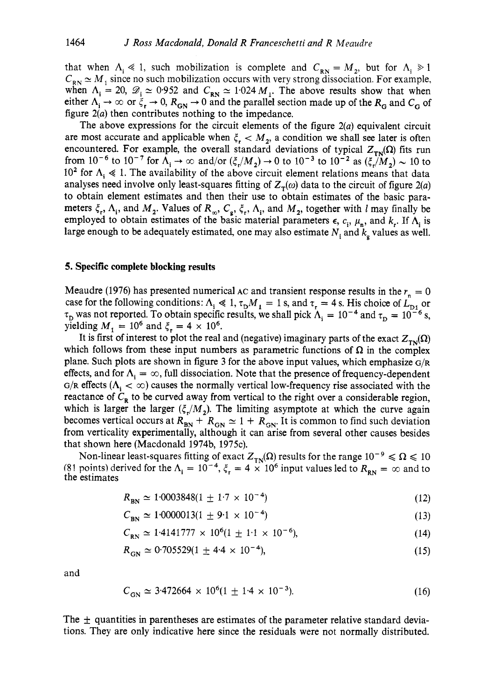that when  $\Lambda_i \ll 1$ , such mobilization is complete and  $C_{RN} = M_2$ , but for  $\Lambda_i \gg 1$  $C_{\rm RN} \simeq M_1$  since no such mobilization occurs with very strong dissociation. For example, when  $\Lambda_i = 20$ ,  $\mathscr{D}_i \simeq 0.952$  and  $C_{RN} \simeq 1.024 M_i$ . The above results show that when when  $A_i = 20$ ,  $\mathscr{D}_i \simeq 0.952$  and  $C_{RN} \simeq 1.024 M_i$ . The above results show that when either  $A_i \rightarrow \infty$  or  $\xi_r \rightarrow 0$ ,  $R_{GN} \rightarrow 0$  and the parallel section made up of the  $R_G$  and  $C_G$  of figure *2(a)* then contributes nothing to the impedance.

The above expressions for the circuit elements of the figure *2(a)* equivalent circuit are most accurate and applicable when  $\xi_{\rm r} < M_2$ , a condition we shall see later is often encountered. For example, the overall standard deviations of typical  $Z_{\text{TN}}(\Omega)$  fits run encountered. For example, the overall standard deviations of typical  $Z_{TN}(\Omega)$  fits run<br>from  $10^{-6}$  to  $10^{-7}$  for  $\Lambda_i \to \infty$  and/or  $(\xi_i/M_2) \to 0$  to  $10^{-3}$  to  $10^{-2}$  as  $(\xi_i/M_2) \sim 10$  to 10<sup>2</sup> for  $\Lambda$ ,  $\ll$  1. The availability of the above circuit element relations means that data analyses need involve only least-squares fitting of  $Z_{\tau}(\omega)$  data to the circuit of figure 2(a) to obtain element estimates and then their use to obtain estimates of the basic parameters  $\xi_r$ ,  $\Lambda_i$ , and  $M_2$ . Values of  $R_\infty$ ,  $C_g$ ,  $\xi_r$ ,  $\Lambda_i$ , and  $M_2$ , together with l may finally be employed to obtain estimates of the basic material parameters  $\epsilon$ ,  $c_i$ ,  $\mu_n$ , and  $k_r$ . If  $\Lambda_i$  is large enough to be adequately estimated, one may also estimate  $N_i$  and  $k_g$  values as well.

# **5.** Specific complete blocking results

Meaudre (1976) has presented numerical  $AC$  and transient response results in the  $r<sub>n</sub> = 0$ case for the following conditions:  $\Lambda_i \ll 1$ ,  $\tau_D M_i = 1$  s, and  $\tau_r = 4$  s. His choice of  $\bar{L}_{\text{D}i}$  or  $\tau_D$  was not reported. To obtain specific results, we shall pick  $\Lambda_i = 10^{-4}$  and  $\tau_D = 10^{-6}$  s, yielding  $M_1 = 10^6$  and  $\xi_r = 4 \times 10^6$ .

It is first of interest to plot the real and (negative) imaginary parts of the exact  $Z_{\text{TN}}(\Omega)$ which follows from these input numbers as parametric functions of  $\Omega$  in the complex plane. Such plots are shown in figure 3 for the above input values, which emphasize  $G/R$ effects, and for  $\Lambda_i = \infty$ , full dissociation. Note that the presence of frequency-dependent  $G/R$  effects  $(\Lambda_i < \infty)$  causes the normally vertical low-frequency rise associated with the reactance of  $C_R$  to be curved away from vertical to the right over a considerable region, which is larger the larger  $(\xi/M_2)$ . The limiting asymptote at which the curve again becomes vertical occurs at  $R_{BN} + R_{GN} \simeq 1 + R_{GN}$ . It is common to find such deviation from verticality experimentally, although it can arise from several other causes besides that shown here (Macdonald 1974b, 1975c).

Non-linear least-squares fitting of exact  $Z_{\text{TN}}(\Omega)$  results for the range  $10^{-9} \le \Omega \le 10$ (81 points) derived for the  $\Lambda_i = 10^{-4}$ ,  $\xi_r = 4 \times 10^6$  input values led to  $R_{\text{RN}} = \infty$  and to the estimates

$$
R_{\rm BN} \simeq 1.0003848(1 \pm 1.7 \times 10^{-4}) \tag{12}
$$

$$
C_{\rm BN} \simeq 1.0000013(1 \pm 9.1 \times 10^{-4}) \tag{13}
$$

$$
C_{\text{RN}} \simeq 1.4141777 \times 10^6 (1 \pm 1.1 \times 10^{-6}),\tag{14}
$$

$$
R_{\rm GN} \simeq 0.705529(1 \pm 4.4 \times 10^{-4}), \tag{15}
$$

and

$$
C_{\rm GN} \simeq 3.472664 \times 10^6 (1 \pm 1.4 \times 10^{-3}). \tag{16}
$$

The  $\pm$  quantities in parentheses are estimates of the parameter relative standard deviations. They are only indicative here since the residuals were not normally distributed.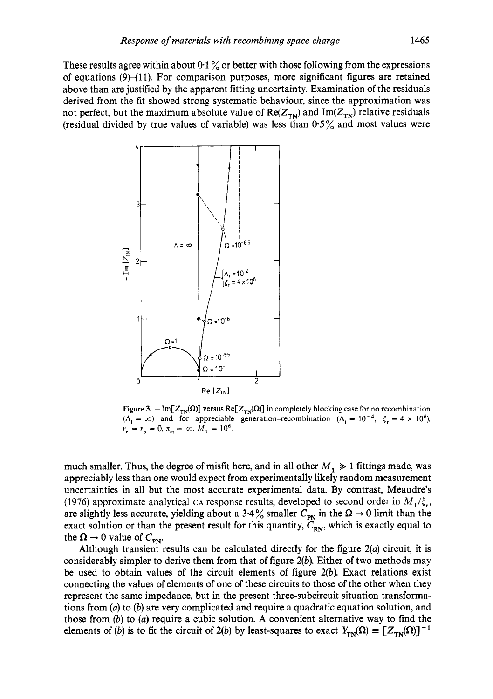These results agree within about  $0.1\%$  or better with those following from the expressions of equations  $(9)$ – $(11)$ . For comparison purposes, more significant figures are retained above than are justified by the apparent fitting uncertainty. Examination of the residuals derived from the fit showed strong systematic behaviour, since the approximation was not perfect, but the maximum absolute value of  $Re(Z_{TN})$  and  $Im(Z_{TN})$  relative residuals (residual divided by true values of variable) was less than *0.5%* and most values were



Figure 3.  $-\text{Im}[Z_{TN}(\Omega)]$  versus  $\text{Re}[Z_{TN}(\Omega)]$  in completely blocking case for no recombination  $(\Lambda_i = \infty)$  and for appreciable generation-recombination  $(\Lambda_i = 10^{-4}, \xi_r = 4 \times 10^6)$ .  $r_n = r_p = 0, \pi_m = \infty, M_1 = 10^6$ .

much smaller. Thus, the degree of misfit here, and in all other  $M_1 \geq 1$  fittings made, was appreciably less than one would expect from experimentally likely random measurement uncertainties in all but the most accurate experimental data. By contrast, Meaudre's (1976) approximate analytical CA response results, developed to second order in  $M_1/\xi_r$ , are slightly less accurate, yielding about a 3.4% smaller  $C_{PN}$  in the  $\Omega \rightarrow 0$  limit than the exact solution or than the present result for this quantity,  $\tilde{C}_{RN}$ , which is exactly equal to the  $\Omega \rightarrow 0$  value of  $C_{\text{pN}}$ .

Although transient results can be calculated directly for the figure  $2(a)$  circuit, it is considerably simpler to derive them from that of figure *2(b).* Either of two methods may be used to obtain values of the circuit elements of figure *2(b).* Exact relations exist connecting the values of elements of one of these circuits to those of the other when they represent the same impedance, but in the present three-subcircuit situation transformations from **(a)** to *(b)* are very complicated and require a quadratic equation solution, and those from *(b)* to (a) require a cubic solution. A convenient alternative way to find the elements of *(b)* is to fit the circuit of 2*(b)* by least-squares to exact  $Y_{TN}(\Omega) \equiv [Z_{TN}(\Omega)]^{-1}$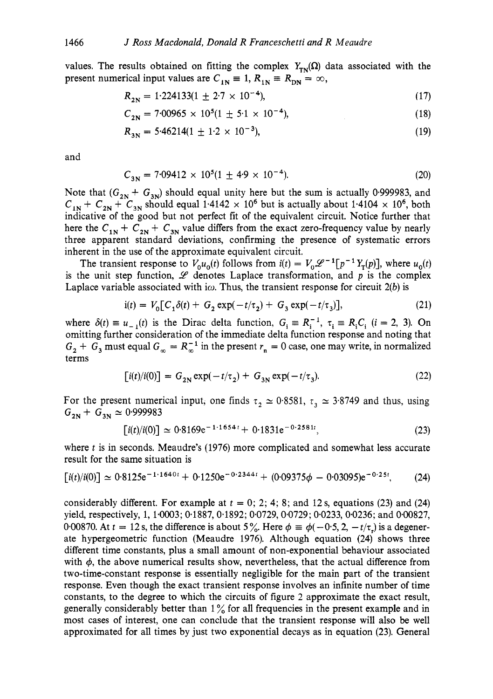values. The results obtained on fitting the complex  $Y_{\text{TN}}(\Omega)$  data associated with the present numerical input values are  $C_{1N} \equiv 1, R_{1N} \equiv R_{DN} = \infty$ ,

$$
R_{2N} = 1.224133(1 \pm 2.7 \times 10^{-4}),\tag{17}
$$

$$
C_{2N} = 7.00965 \times 10^5 (1 \pm 5.1 \times 10^{-4}), \tag{18}
$$

$$
R_{3N} = 5.46214(1 \pm 1.2 \times 10^{-3}),
$$
 (19)

and

$$
C_{3N} = 7.09412 \times 10^5 (1 \pm 4.9 \times 10^{-4}).
$$
 (20)

Note that  $(G_{2N} + G_{3N})$  should equal unity here but the sum is actually 0.999983, and  $C_{1N}$  +  $C_{2N}$  +  $C_{3N}$  should equal 1.4142  $\times$  10<sup>6</sup> but is actually about 1.4104  $\times$  10<sup>6</sup>, both indicative of the good but not perfect fit of the equivalent circuit. Notice further that here the  $C_{1N}$  +  $C_{2N}$  +  $C_{3N}$  value differs from the exact zero-frequency value by nearly three apparent standard deviations, confirming the presence of systematic errors inherent in the use of the approximate equivalent circuit.

The transient response to  $V_0u_0(t)$  follows from  $i(t) = V_0 \mathcal{L}^{-1}[\bar{p}^{-1}Y_T(p)]$ , where  $u_0(t)$ is the unit step function,  $\mathscr L$  denotes Laplace transformation, and  $p$  is the complex Laplace variable associated with i $\omega$ . Thus, the transient response for circuit  $2(b)$  is

$$
i(t) = V_0[C_1\delta(t) + G_2 \exp(-t/\tau_2) + G_3 \exp(-t/\tau_3)],
$$
\n(21)

where  $\delta(t) \equiv u_{-1}(t)$  is the Dirac delta function,  $G_i \equiv R_i^{-1}$ ,  $\tau_i \equiv R_i C_i$  (i = 2, 3). On omitting further consideration of the immediate delta function response and noting that  $G_2 + G_3$  must equal  $G_{\infty} = R_{\infty}^{-1}$  in the present  $r_n = 0$  case, one may write, in normalized terms

$$
[i(t)/i(0)] = G_{2N} \exp(-t/\tau_2) + G_{3N} \exp(-t/\tau_3).
$$
 (22)

For the present numerical input, one finds  $\tau_2 \approx 0.8581$ ,  $\tau_3 \approx 3.8749$  and thus, using  $G_{2N}$  +  $G_{3N} \simeq 0.999983$ 

$$
[i(t)/i(0)] \simeq 0.8169e^{-1.1654t} + 0.1831e^{-0.2581t}, \qquad (23)
$$

where  $t$  is in seconds. Meaudre's (1976) more complicated and somewhat less accurate result for the same situation is

$$
[i(t)/i(0)] \simeq 0.8125 e^{-1.1640t} + 0.1250 e^{-0.2344t} + (0.09375 \phi - 0.03095) e^{-0.25t}, \tag{24}
$$

considerably different. For example at  $t = 0$ ; 2; 4; 8; and 12 s, equations (23) and (24) yield, respectively, 1, 1.0003; 0.1887, 0,1892; 0.0729, 0.0729; 0.0233,0.0236; and 0.00827, 0.00870. At  $t = 12$  s, the difference is about 5%. Here  $\phi = \phi(-0.5, 2, -t/\tau)$  is a degenerate hypergeometric function (Meaudre 1976). Although equation (24) shows three different time constants, plus a small amount of non-exponential behaviour associated with  $\phi$ , the above numerical results show, nevertheless, that the actual difference from two-time-constant response is essentially negligible for the main part of the transient response. Even though the exact transient response involves an infinite number of time constants, to the degree to which the circuits of figure 2 approximate the exact result, generally considerably better than  $1\%$  for all frequencies in the present example and in most cases of interest, one can conclude that the transient response will also be well approximated for all times by just two exponential decays as in equation (23). General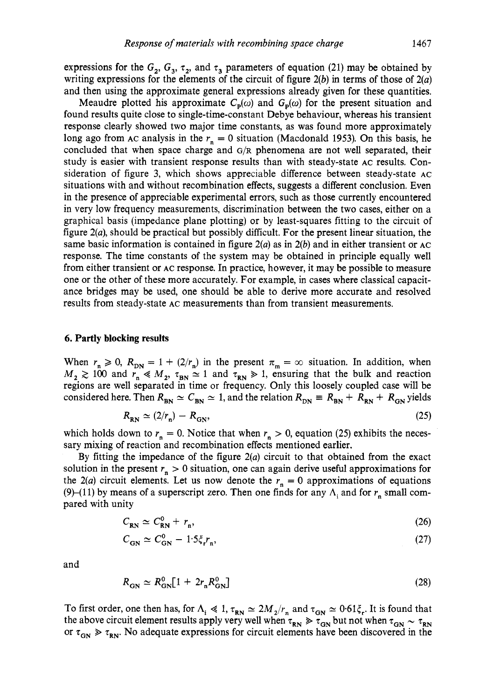expressions for the  $G_2$ ,  $G_3$ ,  $\tau_2$ , and  $\tau_3$  parameters of equation (21) may be obtained by writing expressions for the elements of the circuit of figure **2(b)** in terms of those of **2(a)**  and then using the approximate general expressions already given for these quantities.

Meaudre plotted his approximate  $C_p(\omega)$  and  $G_p(\omega)$  for the present situation and found results quite close to single-time-constant Debye behaviour, whereas his transient response clearly showed two major time constants, as was found more approximately long ago from AC analysis in the  $r_n = 0$  situation (Macdonald 1953). On this basis, he concluded that when space charge and G/R phenomena are not well separated, their study is easier with transient response results than with steady-state **AC** results. Consideration of figure **3,** which shows appreciable difference between steady-state **AC**  situations with and without recombination effects, suggests a different conclusion. Even in the presence of appreciable experimental errors, such as those currently encountered in very low frequency measurements, discrimination between the two cases, either on a graphical basis (impedance plane plotting) or by least-squares fitting to the circuit of figure **2(a),** should be practical but possibly difficult. For the present linear situation, the same basic information is contained in figure **2(a)** as in *2(b)* and in either transient or **AC**  response. The time constants of the system may be obtained in principle equally well from either transient or **AC** response. In practice, however, it may be possible to measure one or the other of these more accurately. For example, in cases where classical capacitance bridges may be used, one should be able to derive more accurate and resolved results from steady-state **AC** measurements than from transient measurements.

# *6.* **Partly blocking results**

When  $r_n \ge 0$ ,  $R_{DN} = 1 + (2/r_n)$  in the present  $\pi_m = \infty$  situation. In addition, when  $M_2 \ge 100$  and  $r_n \ll M_2$ ,  $\tau_{BN} \simeq 1$  and  $\tau_{RN} \gg 1$ , ensuring that the bulk and reaction regions are well separated in time or frequency. Only this loosely coupled case will be considered here. Then  $R_{BN} \simeq C_{BN} \simeq 1$ , and the relation  $R_{DN} \equiv R_{BN} + R_{RN} + R_{GN}$  yields

$$
R_{\rm RN} \simeq (2/r_{\rm n}) - R_{\rm GN},\tag{25}
$$

which holds down to  $r_n = 0$ . Notice that when  $r_n > 0$ , equation (25) exhibits the necessary mixing of reaction and recombination effects mentioned earlier.

By fitting the impedance of the figure **2(a)** circuit to that obtained from the exact solution in the present  $r_n > 0$  situation, one can again derive useful approximations for the  $2(a)$  circuit elements. Let us now denote the  $r_n = 0$  approximations of equations (9)–(11) by means of a superscript zero. Then one finds for any  $\Lambda$ , and for  $r_n$  small compared with unity

$$
C_{\rm RN} \simeq C_{\rm RN}^0 + r_{\rm n},\tag{26}
$$

$$
C_{GN} \simeq C_{GN}^0 - 1.5\xi_r r_n, \tag{27}
$$

and

$$
R_{\rm GN} \simeq R_{\rm GN}^0 \left[ 1 + 2r_{\rm n} R_{\rm GN}^0 \right] \tag{28}
$$

To first order, one then has, for  $\Lambda_i \ll 1$ ,  $\tau_{RN} \simeq 2M_2/r_n$  and  $\tau_{GN} \simeq 0.61 \xi_r$ . It is found that the above circuit element results apply very well when  $\tau_{RN} \ge \tau_{GN}$  but not when  $\tau_{GN} \sim \tau_{RN}$ or  $\tau_{GN} \gg \tau_{RN}$ . No adequate expressions for circuit elements have been discovered in the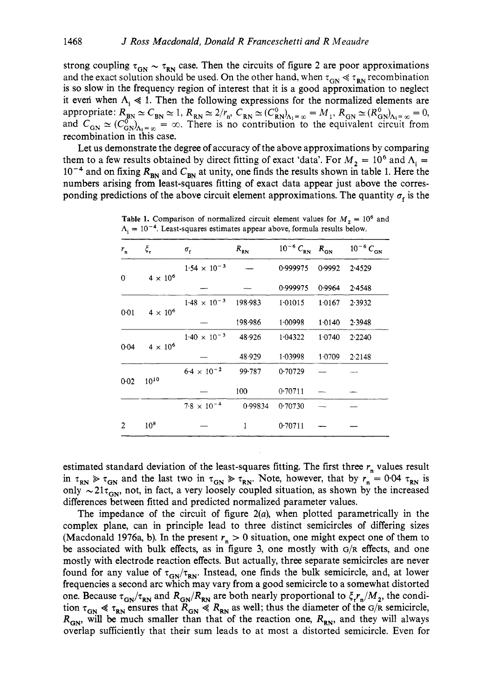strong coupling  $\tau_{GN} \sim \tau_{RN}$  case. Then the circuits of figure 2 are poor approximations and the exact solution should be used. On the other hand, when  $\tau_{\rm GN} \ll \tau_{\rm RN}$  recombination is so slow in the frequency region of interest that it is a good approximation to neglect it even when  $\Lambda_i \ll 1$ . Then the following expressions for the normalized elements are appropriate:  $R_{BN} \simeq C_{BN} \simeq 1$ ,  $R_{RN} \simeq 2/r_n$ ,  $C_{RN} \simeq (C_{RN}^0)_{\Lambda_i = \infty} = M_1$ ,  $R_{GN} \simeq (R_{GN}^0)_{\Lambda_i = \infty} = 0$ , and  $C_{GN} \simeq (C_{GN}^{0^{12}})_{A_1=\infty} = \infty$ . There is no contribution to the equivalent circuit from recombination in this case.

Let us demonstrate the degree of accuracy of the above approximations by comparing them to a few results obtained by direct fitting of exact 'data'. For  $M_2 = 10^6$  and  $\Lambda_i =$  $10^{-4}$  and on fixing  $R_{\text{BN}}$  and  $C_{\text{BN}}$  at unity, one finds the results shown in table 1. Here the numbers arising from least-squares fitting of exact data appear just above the corresponding predictions of the above circuit element approximations. The quantity  $\sigma<sub>s</sub>$  is the

| $r_{\rm n}$ | $\xi_{\bf r}$     | $\sigma_{\rm r}$      | $R_{\rm RN}$ | $10^{-6} C_{\rm RN}$ $R_{\rm GN}$ |           | $10^{-6} C_{GN}$ |
|-------------|-------------------|-----------------------|--------------|-----------------------------------|-----------|------------------|
| 0           | $4 \times 10^{6}$ | $1.54 \times 10^{-3}$ |              | 0.999975                          | 0.9992    | 2.4529           |
|             |                   |                       |              | 0.999975                          | 0.9964    | 2.4548           |
| 0.01        | $4 \times 10^6$   | $1.48 \times 10^{-3}$ | 198.983      | 1.01015                           | 1.0167    | 2.3932           |
|             |                   |                       | 198.986      | 1.00998                           | 1 0 1 4 0 | 2.3948           |
| 0.04        | $4 \times 10^6$   | $1.40 \times 10^{-3}$ | 48.926       | 1.04322                           | 1.0740    | 2.2240           |
|             |                   |                       | 48.929       | 1.03998                           | 1.0709    | 2.2148           |
| 0.02        | $10^{10}$         | $6.4 \times 10^{-2}$  | 99.787       | 0.70729                           |           |                  |
|             |                   |                       | 100          | 0.70711                           |           |                  |
|             |                   | $7.8 \times 10^{-4}$  | 0.99834      | 0.70730                           |           |                  |
| 2           | $10^{8}$          |                       | 1            | 0.70711                           |           |                  |

**Table 1.** Comparison of normalized circuit element values for  $M_2 = 10^6$  and  $\Lambda_i = 10^{-4}$ . Least-squares estimates appear above, formula results below.

estimated standard deviation of the least-squares fitting. The first three  $r_n$  values result in  $\tau_{RN} \ge \tau_{GN}$  and the last two in  $\tau_{GN} \ge \tau_{RN}$ . Note, however, that by  $r_n = 0.04 \tau_{RN}$  is only  $\sim 21\tau_{\text{cm}}$ , not, in fact, a very loosely coupled situation, as shown by the increased differences between fitted and predicted normalized parameter values.

The impedance of the circuit of figure *2(a),* when plotted parametrically in the complex plane, can in principle lead to three distinct semicircles of differing sizes (Macdonald 1976a, b). In the present  $r_n > 0$  situation, one might expect one of them to be associated with bulk effects, as in figure **3,** one mostly with **G/R** effects, and one mostly with electrode reaction effects. But actually, three separate semicircles are never found for any value of  $\tau_{GN}/\tau_{RN}$ . Instead, one finds the bulk semicircle, and, at lower frequencies a second arc which may vary from a good semicircle to a somewhat distorted one. Because  $\tau_{GN}/\tau_{RN}$  and  $R_{GN}/R_{RN}$  are both nearly proportional to  $\zeta_r r_n/M_2$ , the condition  $\tau_{\text{GN}} \ll \tau_{\text{RN}}$  ensures that  $R_{\text{GN}} \ll R_{\text{RN}}$  as well; thus the diameter of the  $G/R$  semicircle,  $R_{\text{cm}}$ , will be much smaller than that of the reaction one,  $R_{\text{cm}}$ , and they will always overlap sufficiently that their sum leads to at most a distorted semicircle. Even for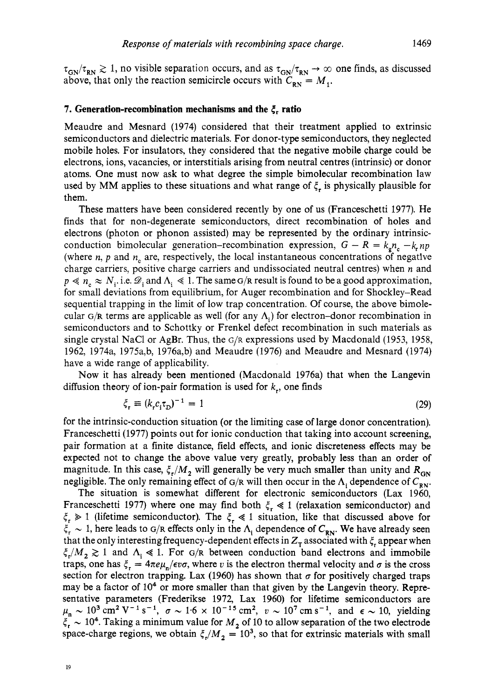$\tau_{GN}/\tau_{RN} \gtrsim 1$ , no visible separation occurs, and as  $\tau_{GN}/\tau_{RN} \to \infty$  one finds, as discussed above, that only the reaction semicircle occurs with  $C_{\text{av}} = M_1$ .

# **7. Generation-recombination mechanisms and the** {, **ratio**

Meaudre and Mesnard (1974) considered that their treatment applied to extrinsic semiconductors and dielectric materials. For donor-type semiconductors, they neglected mobile holes. For insulators, they considered that the negative mobile charge could be electrons, ions, vacancies, or interstitials arising from neutral centres (intrinsic) or donor atoms. One must now ask to what degree the simple bimolecular recombination law used by MM applies to these situations and what range of *5,* is physically plausible for them.

These matters have been considered recently by one of us (Franceschetti 1977). He finds that for non-degenerate semiconductors, direct recombination of holes and electrons (photon or phonon assisted) may be represented by the ordinary intrinsicconduction bimolecular generation-recombination expression,  $G - R = k_a n_c - k_r n_p$ (where  $n$ ,  $p$  and  $n<sub>n</sub>$  are, respectively, the local instantaneous concentrations of negative charge carriers, positive charge carriers and undissociated neutral centres) when *n* and  $p \ll n_{\gamma} \approx N_i$ . i.e.  $\mathcal{D}_i$  and  $\Lambda_i \ll 1$ . The same G/R result is found to be a good approximation, for small deviations from equilibrium, for Auger recombination and for Shockley-Read sequential trapping in the limit of low trap concentration. Of course, the above bimolecular  $G/R$  terms are applicable as well (for any  $\Lambda_i$ ) for electron-donor recombination in semiconductors and to Schottky or Frenkel defect recombination in such materials as single crystal NaCl or AgBr. Thus, the  $G/R$  expressions used by Macdonald (1953, 1958, 1962, 1974a, 1975a,b, 1976a,b) and Meaudre (1976) and Meaudre and Mesnard (1974) have a wide range of applicability.

Now it has already been mentioned (Macdonald 1976a) that when the Langevin diffusion theory of ion-pair formation is used for *k,,* one finds

$$
\xi_{\mathbf{r}} \equiv (k_{\mathbf{r}} c_{\mathbf{i}} \tau_{\mathbf{D}})^{-1} = 1 \tag{29}
$$

for the intrinsic-conduction situation (or the limiting case of large donor concentration). Franceschetti (1977) points out for ionic conduction that taking into account screening, pair formation at a finite distance, field effects, and ionic discreteness effects may be expected not to change the above value very greatly, probably less than an order of magnitude. In this case,  $\xi_r/M_2$  will generally be very much smaller than unity and  $R_{GN}$ negligible. The only remaining effect of G/R will then occur in the  $\Lambda_i$  dependence of  $C_{RN}$ .

The situation is somewhat different for electronic semiconductors (Lax 1960, Franceschetti 1977) where one may find both  $\xi_r \ll 1$  (relaxation semiconductor) and  $\xi_{\rm r} \gg 1$  (lifetime semiconductor). The  $\xi_{\rm r} \ll 1$  situation, like that discussed above for  $\xi_r \sim 1$ , here leads to G/R effects only in the  $\Lambda_i$  dependence of  $C_{\text{RN}}$ . We have already seen that the only interesting frequency-dependent effects in  $Z<sub>T</sub>$  associated with  $\xi<sub>r</sub>$  appear when  $\zeta_r/M_{2} \gtrsim 1$  and  $\Lambda_i \ll 1$ . For G/R between conduction band electrons and immobile traps, one has  $\xi_r = 4\pi e\mu_n/\epsilon v\sigma$ , where *v* is the electron thermal velocity and  $\sigma$  is the cross section for electron trapping. Lax (1960) has shown that  $\sigma$  for positively charged traps may be a factor of  $10<sup>4</sup>$  or more smaller than that given by the Langevin theory. Representative parameters (Frederikse 1972, Lax 1960) for lifetime semiconductors are **parameters** (Frederikse 1972, Lax 1960) for lifetime semiconductors are  $\mu_n \sim 10^3$  cm<sup>2</sup> V<sup>-1</sup> s<sup>-1</sup>,  $\sigma \sim 1.6 \times 10^{-15}$  cm<sup>2</sup>,  $v \sim 10^7$  cm s<sup>-1</sup>, and  $\epsilon \sim 10$ , yielding  $\mu_n \sim 10^3$  cm<sup>2</sup> V<sup>-1</sup> s<sup>-1</sup>,  $\sigma \sim 1.6 \times 10^{-15}$  cm<sup>2</sup>,  $v \sim 10^7$  cm s<sup>-1</sup>, and  $\epsilon \sim 10$ , yielding  $\xi_r \sim 10^4$ . Taking a minimum value for  $M_2$  of 10 to allow separation of the two electrode space-charge regions, we obtain  $\xi/M_2 = 10^3$ , so that for extrinsic materials with small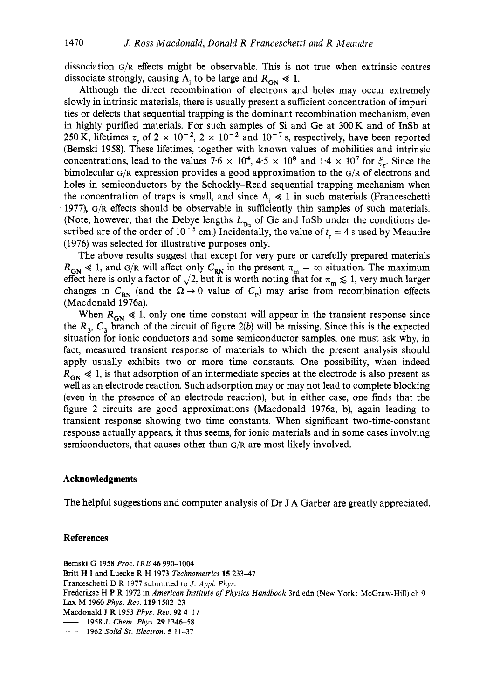dissociation G/R effects might be observable. This is not true when extrinsic centres dissociate strongly, causing  $\Lambda$ , to be large and  $R_{\rm GN} \ll 1$ .

Although the direct recombination of electrons and holes may occur extremely slowly in intrinsic materials, there is usually present a sufficient concentration of impurities or defects that sequential trapping is the dominant recombination mechanism, even in highly purified materials. For such samples of Si and Ge at **300K** and of InSb at 250 K, lifetimes  $\tau$ , of 2 × 10<sup>-2</sup>, 2 × 10<sup>-2</sup> and 10<sup>-7</sup> s, respectively, have been reported (Bemski 1958). These lifetimes, together with known values of mobilities and intrinsic concentrations, lead to the values  $7.6 \times 10^4$ ,  $4.5 \times 10^8$  and  $1.4 \times 10^7$  for  $\xi$ . Since the bimolecular G/R expression provides a good approximation to the G/R of electrons and holes in semiconductors by the Schockly-Read sequential trapping mechanism when the concentration of traps is small, and since  $\Lambda_i \ll 1$  in such materials (Franceschetti 1977), G/R effects should be observable in sufficiently thin samples of such materials. (Note, however, that the Debye lengths  $L_{\text{D}_2}$  of Ge and InSb under the conditions described are of the order of  $10^{-5}$  cm.) Incidentally, the value of  $t = 4$  s used by Meaudre (1976) was selected for illustrative purposes only.

The above results suggest that except for very pure or carefully prepared materials  $R_{GN} \ll 1$ , and G/R will affect only  $C_{RN}$  in the present  $\pi_m = \infty$  situation. The maximum effect here is only a factor of  $\sqrt{2}$ , but it is worth noting that for  $\pi_{m} \lesssim 1$ , very much larger changes in  $C_{\text{RN}}$  (and the  $\Omega \rightarrow 0$  value of  $C_p$ ) may arise from recombination effects (Macdonald 1976a).

When  $R_{GN} \leq 1$ , only one time constant will appear in the transient response since the  $R_3$ ,  $C_3$  branch of the circuit of figure  $2(b)$  will be missing. Since this is the expected situation for ionic conductors and some semiconductor samples, one must ask why, in fact, measured transient response of materials to which the present analysis should apply usually exhibits two or more time constants. One possibility, when indeed  $R_{GN} \ll 1$ , is that adsorption of an intermediate species at the electrode is also present as well as an electrode reaction. Such adsorption may or may not lead to complete blocking (even in the presence of an electrode reaction), but in either case, one finds that the figure 2 circuits are good approximations (Macdonald 1976a, b), again leading to transient response showing two time constants. When significant two-time-constant response actually appears, it thus seems, for ionic materials and in some cases involving semiconductors, that causes other than G/R are most likely involved.

#### **Acknowledgments**

The helpful suggestions and computer analysis of Dr J A Garber are greatly appreciated.

# **References**

Bemski G 1958 *Proc.* IRE *46* 990-1004 Britt H I and Luecke R H 1973 Technometrics 15 233-47 Framschetti D **R** 1977 submitted to J. *Appl. Phys.*  - <sup>1958</sup>*J. Chem. Phys.* **29** 1346-58 Frederikse H P R 1972 in *American Institute of Physics Handbook* 3rd edn (New York: McGraw-Hill) ch 9<br>Lax M 1960 *Phys. Rev.* 119 1502–23<br>Macdonald J R 1953 *Phys. Rev.* 92 4–17<br>—— 1958 J. Chem. Phys. 29 1346–58<br>—— 1962 Lax M 1960 *Phys.* Reo. **119** 1502-23 Macdonald J R 1953 *Phys.* Rev. **92** 4-17